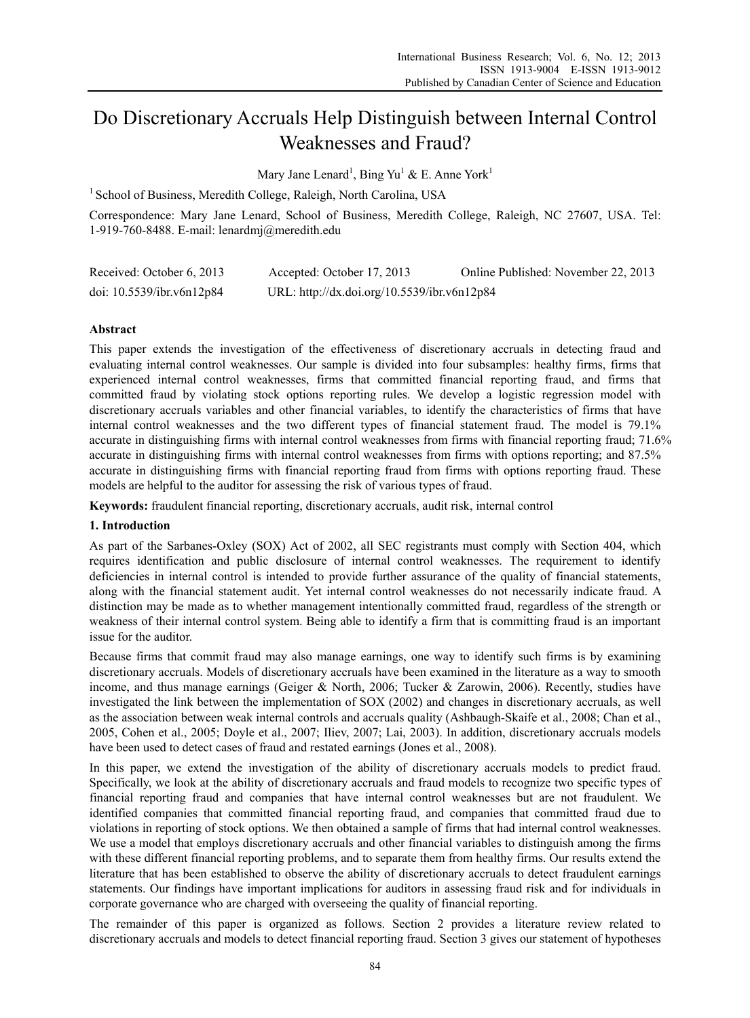# Do Discretionary Accruals Help Distinguish between Internal Control Weaknesses and Fraud?

Mary Jane Lenard<sup>1</sup>, Bing Yu<sup>1</sup> & E. Anne York<sup>1</sup>

<sup>1</sup> School of Business, Meredith College, Raleigh, North Carolina, USA

Correspondence: Mary Jane Lenard, School of Business, Meredith College, Raleigh, NC 27607, USA. Tel: 1-919-760-8488. E-mail: lenardmj@meredith.edu

| Received: October 6, 2013 | Accepted: October 17, 2013                  | Online Published: November 22, 2013 |
|---------------------------|---------------------------------------------|-------------------------------------|
| doi: 10.5539/ibr.v6n12p84 | URL: http://dx.doi.org/10.5539/ibr.v6n12p84 |                                     |

# **Abstract**

This paper extends the investigation of the effectiveness of discretionary accruals in detecting fraud and evaluating internal control weaknesses. Our sample is divided into four subsamples: healthy firms, firms that experienced internal control weaknesses, firms that committed financial reporting fraud, and firms that committed fraud by violating stock options reporting rules. We develop a logistic regression model with discretionary accruals variables and other financial variables, to identify the characteristics of firms that have internal control weaknesses and the two different types of financial statement fraud. The model is 79.1% accurate in distinguishing firms with internal control weaknesses from firms with financial reporting fraud; 71.6% accurate in distinguishing firms with internal control weaknesses from firms with options reporting; and 87.5% accurate in distinguishing firms with financial reporting fraud from firms with options reporting fraud. These models are helpful to the auditor for assessing the risk of various types of fraud.

**Keywords:** fraudulent financial reporting, discretionary accruals, audit risk, internal control

## **1. Introduction**

As part of the Sarbanes-Oxley (SOX) Act of 2002, all SEC registrants must comply with Section 404, which requires identification and public disclosure of internal control weaknesses. The requirement to identify deficiencies in internal control is intended to provide further assurance of the quality of financial statements, along with the financial statement audit. Yet internal control weaknesses do not necessarily indicate fraud. A distinction may be made as to whether management intentionally committed fraud, regardless of the strength or weakness of their internal control system. Being able to identify a firm that is committing fraud is an important issue for the auditor.

Because firms that commit fraud may also manage earnings, one way to identify such firms is by examining discretionary accruals. Models of discretionary accruals have been examined in the literature as a way to smooth income, and thus manage earnings (Geiger & North, 2006; Tucker & Zarowin, 2006). Recently, studies have investigated the link between the implementation of SOX (2002) and changes in discretionary accruals, as well as the association between weak internal controls and accruals quality (Ashbaugh-Skaife et al., 2008; Chan et al., 2005, Cohen et al., 2005; Doyle et al., 2007; Iliev, 2007; Lai, 2003). In addition, discretionary accruals models have been used to detect cases of fraud and restated earnings (Jones et al., 2008).

In this paper, we extend the investigation of the ability of discretionary accruals models to predict fraud. Specifically, we look at the ability of discretionary accruals and fraud models to recognize two specific types of financial reporting fraud and companies that have internal control weaknesses but are not fraudulent. We identified companies that committed financial reporting fraud, and companies that committed fraud due to violations in reporting of stock options. We then obtained a sample of firms that had internal control weaknesses. We use a model that employs discretionary accruals and other financial variables to distinguish among the firms with these different financial reporting problems, and to separate them from healthy firms. Our results extend the literature that has been established to observe the ability of discretionary accruals to detect fraudulent earnings statements. Our findings have important implications for auditors in assessing fraud risk and for individuals in corporate governance who are charged with overseeing the quality of financial reporting.

The remainder of this paper is organized as follows. Section 2 provides a literature review related to discretionary accruals and models to detect financial reporting fraud. Section 3 gives our statement of hypotheses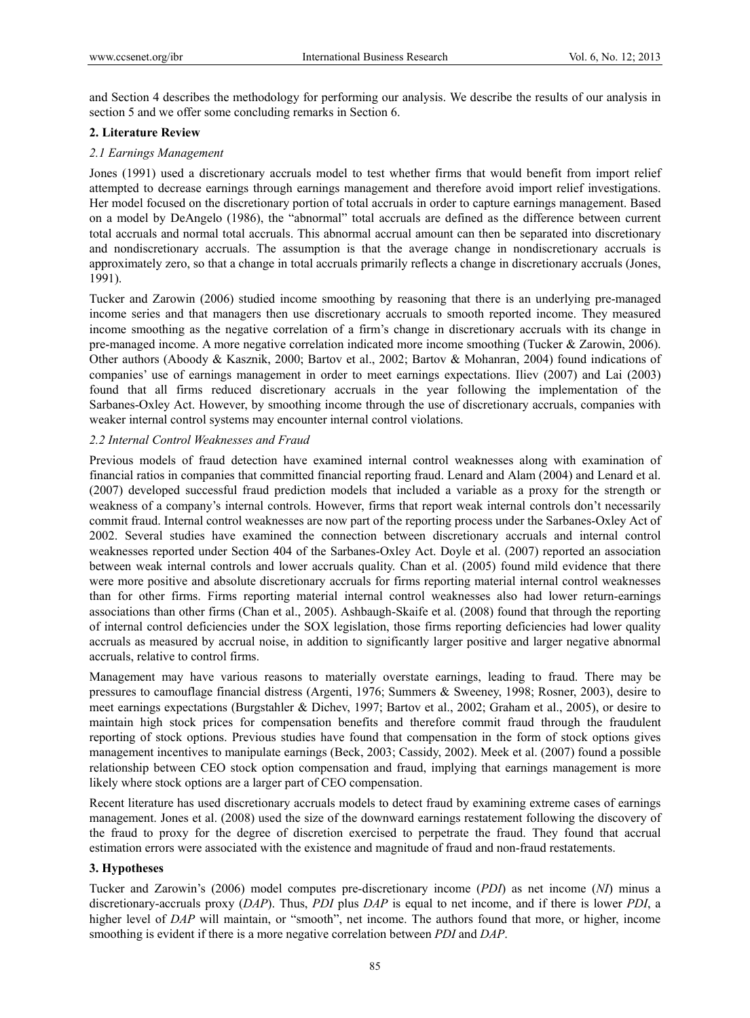and Section 4 describes the methodology for performing our analysis. We describe the results of our analysis in section 5 and we offer some concluding remarks in Section 6.

# **2. Literature Review**

## *2.1 Earnings Management*

Jones (1991) used a discretionary accruals model to test whether firms that would benefit from import relief attempted to decrease earnings through earnings management and therefore avoid import relief investigations. Her model focused on the discretionary portion of total accruals in order to capture earnings management. Based on a model by DeAngelo (1986), the "abnormal" total accruals are defined as the difference between current total accruals and normal total accruals. This abnormal accrual amount can then be separated into discretionary and nondiscretionary accruals. The assumption is that the average change in nondiscretionary accruals is approximately zero, so that a change in total accruals primarily reflects a change in discretionary accruals (Jones, 1991).

Tucker and Zarowin (2006) studied income smoothing by reasoning that there is an underlying pre-managed income series and that managers then use discretionary accruals to smooth reported income. They measured income smoothing as the negative correlation of a firm's change in discretionary accruals with its change in pre-managed income. A more negative correlation indicated more income smoothing (Tucker & Zarowin, 2006). Other authors (Aboody & Kasznik, 2000; Bartov et al., 2002; Bartov & Mohanran, 2004) found indications of companies' use of earnings management in order to meet earnings expectations. Iliev (2007) and Lai (2003) found that all firms reduced discretionary accruals in the year following the implementation of the Sarbanes-Oxley Act. However, by smoothing income through the use of discretionary accruals, companies with weaker internal control systems may encounter internal control violations.

# *2.2 Internal Control Weaknesses and Fraud*

Previous models of fraud detection have examined internal control weaknesses along with examination of financial ratios in companies that committed financial reporting fraud. Lenard and Alam (2004) and Lenard et al. (2007) developed successful fraud prediction models that included a variable as a proxy for the strength or weakness of a company's internal controls. However, firms that report weak internal controls don't necessarily commit fraud. Internal control weaknesses are now part of the reporting process under the Sarbanes-Oxley Act of 2002. Several studies have examined the connection between discretionary accruals and internal control weaknesses reported under Section 404 of the Sarbanes-Oxley Act. Doyle et al. (2007) reported an association between weak internal controls and lower accruals quality. Chan et al. (2005) found mild evidence that there were more positive and absolute discretionary accruals for firms reporting material internal control weaknesses than for other firms. Firms reporting material internal control weaknesses also had lower return-earnings associations than other firms (Chan et al., 2005). Ashbaugh-Skaife et al. (2008) found that through the reporting of internal control deficiencies under the SOX legislation, those firms reporting deficiencies had lower quality accruals as measured by accrual noise, in addition to significantly larger positive and larger negative abnormal accruals, relative to control firms.

Management may have various reasons to materially overstate earnings, leading to fraud. There may be pressures to camouflage financial distress (Argenti, 1976; Summers & Sweeney, 1998; Rosner, 2003), desire to meet earnings expectations (Burgstahler & Dichev, 1997; Bartov et al., 2002; Graham et al., 2005), or desire to maintain high stock prices for compensation benefits and therefore commit fraud through the fraudulent reporting of stock options. Previous studies have found that compensation in the form of stock options gives management incentives to manipulate earnings (Beck, 2003; Cassidy, 2002). Meek et al. (2007) found a possible relationship between CEO stock option compensation and fraud, implying that earnings management is more likely where stock options are a larger part of CEO compensation.

Recent literature has used discretionary accruals models to detect fraud by examining extreme cases of earnings management. Jones et al. (2008) used the size of the downward earnings restatement following the discovery of the fraud to proxy for the degree of discretion exercised to perpetrate the fraud. They found that accrual estimation errors were associated with the existence and magnitude of fraud and non-fraud restatements.

## **3. Hypotheses**

Tucker and Zarowin's (2006) model computes pre-discretionary income (*PDI*) as net income (*NI*) minus a discretionary-accruals proxy (*DAP*). Thus, *PDI* plus *DAP* is equal to net income, and if there is lower *PDI*, a higher level of *DAP* will maintain, or "smooth", net income. The authors found that more, or higher, income smoothing is evident if there is a more negative correlation between *PDI* and *DAP*.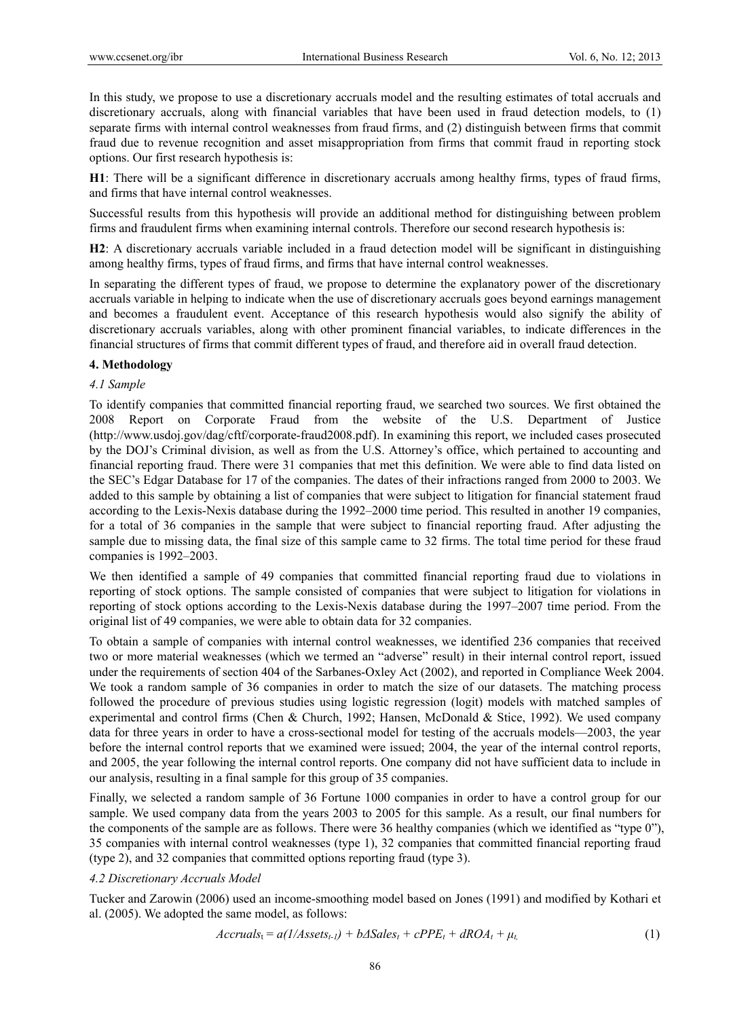In this study, we propose to use a discretionary accruals model and the resulting estimates of total accruals and discretionary accruals, along with financial variables that have been used in fraud detection models, to (1) separate firms with internal control weaknesses from fraud firms, and (2) distinguish between firms that commit fraud due to revenue recognition and asset misappropriation from firms that commit fraud in reporting stock options. Our first research hypothesis is:

**H1**: There will be a significant difference in discretionary accruals among healthy firms, types of fraud firms, and firms that have internal control weaknesses.

Successful results from this hypothesis will provide an additional method for distinguishing between problem firms and fraudulent firms when examining internal controls. Therefore our second research hypothesis is:

**H2**: A discretionary accruals variable included in a fraud detection model will be significant in distinguishing among healthy firms, types of fraud firms, and firms that have internal control weaknesses.

In separating the different types of fraud, we propose to determine the explanatory power of the discretionary accruals variable in helping to indicate when the use of discretionary accruals goes beyond earnings management and becomes a fraudulent event. Acceptance of this research hypothesis would also signify the ability of discretionary accruals variables, along with other prominent financial variables, to indicate differences in the financial structures of firms that commit different types of fraud, and therefore aid in overall fraud detection.

# **4. Methodology**

# *4.1 Sample*

To identify companies that committed financial reporting fraud, we searched two sources. We first obtained the 2008 Report on Corporate Fraud from the website of the U.S. Department of Justice (http://www.usdoj.gov/dag/cftf/corporate-fraud2008.pdf). In examining this report, we included cases prosecuted by the DOJ's Criminal division, as well as from the U.S. Attorney's office, which pertained to accounting and financial reporting fraud. There were 31 companies that met this definition. We were able to find data listed on the SEC's Edgar Database for 17 of the companies. The dates of their infractions ranged from 2000 to 2003. We added to this sample by obtaining a list of companies that were subject to litigation for financial statement fraud according to the Lexis-Nexis database during the 1992–2000 time period. This resulted in another 19 companies, for a total of 36 companies in the sample that were subject to financial reporting fraud. After adjusting the sample due to missing data, the final size of this sample came to 32 firms. The total time period for these fraud companies is 1992–2003.

We then identified a sample of 49 companies that committed financial reporting fraud due to violations in reporting of stock options. The sample consisted of companies that were subject to litigation for violations in reporting of stock options according to the Lexis-Nexis database during the 1997–2007 time period. From the original list of 49 companies, we were able to obtain data for 32 companies.

To obtain a sample of companies with internal control weaknesses, we identified 236 companies that received two or more material weaknesses (which we termed an "adverse" result) in their internal control report, issued under the requirements of section 404 of the Sarbanes-Oxley Act (2002), and reported in Compliance Week 2004. We took a random sample of 36 companies in order to match the size of our datasets. The matching process followed the procedure of previous studies using logistic regression (logit) models with matched samples of experimental and control firms (Chen & Church, 1992; Hansen, McDonald & Stice, 1992). We used company data for three years in order to have a cross-sectional model for testing of the accruals models—2003, the year before the internal control reports that we examined were issued; 2004, the year of the internal control reports, and 2005, the year following the internal control reports. One company did not have sufficient data to include in our analysis, resulting in a final sample for this group of 35 companies.

Finally, we selected a random sample of 36 Fortune 1000 companies in order to have a control group for our sample. We used company data from the years 2003 to 2005 for this sample. As a result, our final numbers for the components of the sample are as follows. There were 36 healthy companies (which we identified as "type 0"), 35 companies with internal control weaknesses (type 1), 32 companies that committed financial reporting fraud (type 2), and 32 companies that committed options reporting fraud (type 3).

## *4.2 Discretionary Accruals Model*

Tucker and Zarowin (2006) used an income-smoothing model based on Jones (1991) and modified by Kothari et al. (2005). We adopted the same model, as follows:

$$
Accruals_t = a(1/Assets_{t-1}) + b\Delta Sales_t + cPPE_t + dROA_t + \mu_t
$$
\n(1)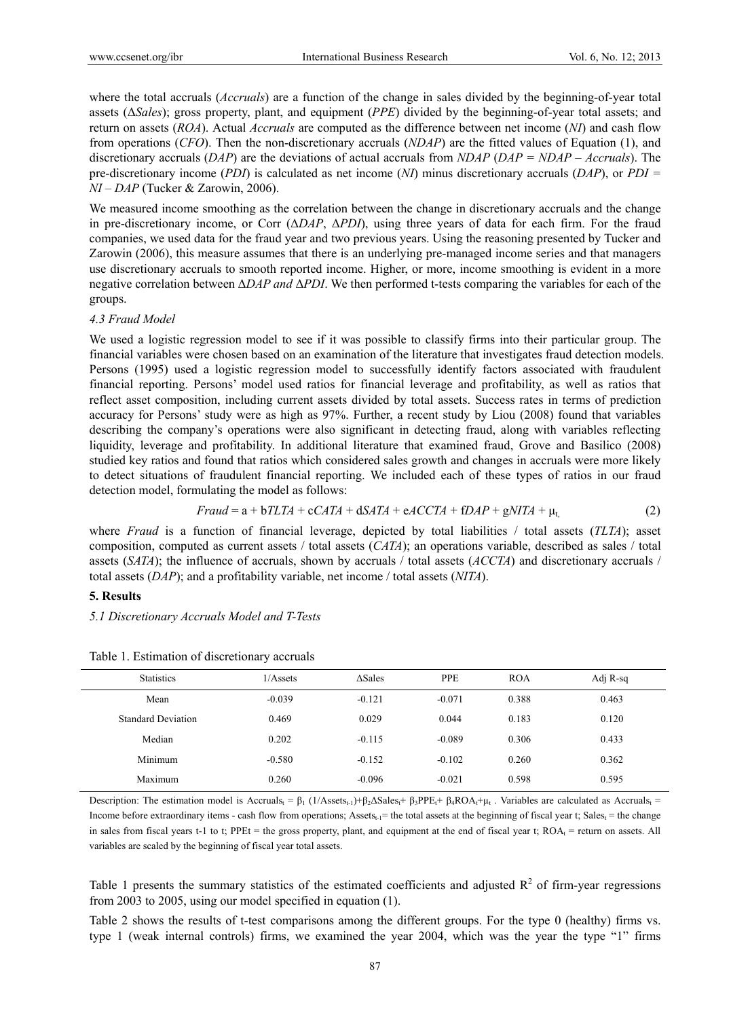where the total accruals (*Accruals*) are a function of the change in sales divided by the beginning-of-year total assets (Δ*Sales*); gross property, plant, and equipment (*PPE*) divided by the beginning-of-year total assets; and return on assets (*ROA*). Actual *Accruals* are computed as the difference between net income (*NI*) and cash flow from operations (*CFO*). Then the non-discretionary accruals (*NDAP*) are the fitted values of Equation (1), and discretionary accruals (*DAP*) are the deviations of actual accruals from *NDAP* (*DAP = NDAP – Accruals*). The pre-discretionary income (*PDI*) is calculated as net income (*NI*) minus discretionary accruals (*DAP*), or *PDI = NI – DAP* (Tucker & Zarowin, 2006).

We measured income smoothing as the correlation between the change in discretionary accruals and the change in pre-discretionary income, or Corr (Δ*DAP*, Δ*PDI*), using three years of data for each firm. For the fraud companies, we used data for the fraud year and two previous years. Using the reasoning presented by Tucker and Zarowin (2006), this measure assumes that there is an underlying pre-managed income series and that managers use discretionary accruals to smooth reported income. Higher, or more, income smoothing is evident in a more negative correlation between Δ*DAP and* Δ*PDI*. We then performed t-tests comparing the variables for each of the groups.

## *4.3 Fraud Model*

We used a logistic regression model to see if it was possible to classify firms into their particular group. The financial variables were chosen based on an examination of the literature that investigates fraud detection models. Persons (1995) used a logistic regression model to successfully identify factors associated with fraudulent financial reporting. Persons' model used ratios for financial leverage and profitability, as well as ratios that reflect asset composition, including current assets divided by total assets. Success rates in terms of prediction accuracy for Persons' study were as high as 97%. Further, a recent study by Liou (2008) found that variables describing the company's operations were also significant in detecting fraud, along with variables reflecting liquidity, leverage and profitability. In additional literature that examined fraud, Grove and Basilico (2008) studied key ratios and found that ratios which considered sales growth and changes in accruals were more likely to detect situations of fraudulent financial reporting. We included each of these types of ratios in our fraud detection model, formulating the model as follows:

$$
Fraud = a + bTLTA + cCATA + dSATA + eACCTA + fDAP + gNITA + \mu_t
$$
\n<sup>(2)</sup>

where *Fraud* is a function of financial leverage, depicted by total liabilities / total assets (*TLTA*); asset composition, computed as current assets / total assets (*CATA*); an operations variable, described as sales / total assets (*SATA*); the influence of accruals, shown by accruals / total assets (*ACCTA*) and discretionary accruals / total assets (*DAP*); and a profitability variable, net income / total assets (*NITA*).

## **5. Results**

*5.1 Discretionary Accruals Model and T-Tests* 

| <b>Statistics</b>         | $1/A$ ssets | $\triangle$ Sales | <b>PPE</b> | <b>ROA</b> | Adj R-sq |
|---------------------------|-------------|-------------------|------------|------------|----------|
| Mean                      | $-0.039$    | $-0.121$          | $-0.071$   | 0.388      | 0.463    |
| <b>Standard Deviation</b> | 0.469       | 0.029             | 0.044      | 0.183      | 0.120    |
| Median                    | 0.202       | $-0.115$          | $-0.089$   | 0.306      | 0.433    |
| Minimum                   | $-0.580$    | $-0.152$          | $-0.102$   | 0.260      | 0.362    |
| Maximum                   | 0.260       | $-0.096$          | $-0.021$   | 0.598      | 0.595    |

Table 1. Estimation of discretionary accruals

Description: The estimation model is Accruals<sub>t</sub> =  $\beta_1$  (1/Assets<sub>t-1</sub>)+ $\beta_2$ ΔSales<sub>t</sub>+  $\beta_3$ PPE<sub>t</sub>+  $\beta_4$ ROA<sub>t</sub>+ $\mu_t$ . Variables are calculated as Accruals<sub>t</sub> = Income before extraordinary items - cash flow from operations; Assets<sub>t-1</sub>= the total assets at the beginning of fiscal year t; Sales<sub>t</sub> = the change in sales from fiscal years t-1 to t; PPEt = the gross property, plant, and equipment at the end of fiscal year t;  $ROA_t$  = return on assets. All variables are scaled by the beginning of fiscal year total assets.

Table 1 presents the summary statistics of the estimated coefficients and adjusted  $\mathbb{R}^2$  of firm-year regressions from 2003 to 2005, using our model specified in equation (1).

Table 2 shows the results of t-test comparisons among the different groups. For the type 0 (healthy) firms vs. type 1 (weak internal controls) firms, we examined the year 2004, which was the year the type "1" firms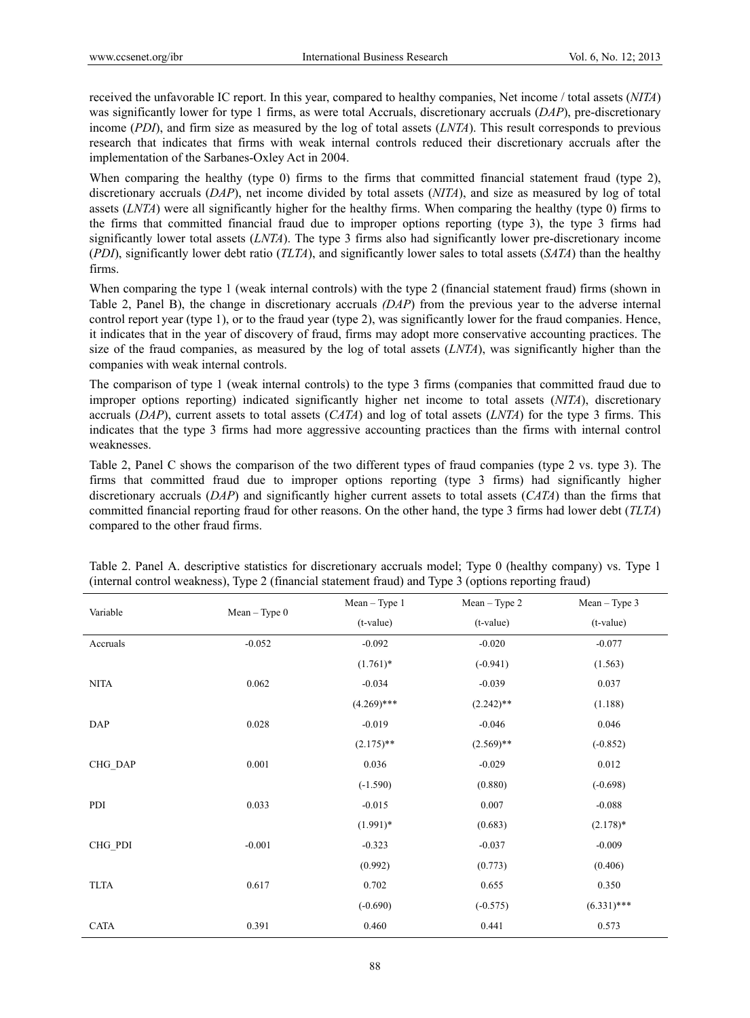received the unfavorable IC report. In this year, compared to healthy companies, Net income / total assets (*NITA*) was significantly lower for type 1 firms, as were total Accruals, discretionary accruals (*DAP*), pre-discretionary income (*PDI*), and firm size as measured by the log of total assets (*LNTA*). This result corresponds to previous research that indicates that firms with weak internal controls reduced their discretionary accruals after the implementation of the Sarbanes-Oxley Act in 2004.

When comparing the healthy (type 0) firms to the firms that committed financial statement fraud (type 2), discretionary accruals (*DAP*), net income divided by total assets (*NITA*), and size as measured by log of total assets (*LNTA*) were all significantly higher for the healthy firms. When comparing the healthy (type 0) firms to the firms that committed financial fraud due to improper options reporting (type 3), the type 3 firms had significantly lower total assets (*LNTA*). The type 3 firms also had significantly lower pre-discretionary income (*PDI*), significantly lower debt ratio (*TLTA*), and significantly lower sales to total assets (*SATA*) than the healthy firms.

When comparing the type 1 (weak internal controls) with the type 2 (financial statement fraud) firms (shown in Table 2, Panel B), the change in discretionary accruals *(DAP*) from the previous year to the adverse internal control report year (type 1), or to the fraud year (type 2), was significantly lower for the fraud companies. Hence, it indicates that in the year of discovery of fraud, firms may adopt more conservative accounting practices. The size of the fraud companies, as measured by the log of total assets (*LNTA*), was significantly higher than the companies with weak internal controls.

The comparison of type 1 (weak internal controls) to the type 3 firms (companies that committed fraud due to improper options reporting) indicated significantly higher net income to total assets (*NITA*), discretionary accruals (*DAP*), current assets to total assets (*CATA*) and log of total assets (*LNTA*) for the type 3 firms. This indicates that the type 3 firms had more aggressive accounting practices than the firms with internal control weaknesses.

Table 2, Panel C shows the comparison of the two different types of fraud companies (type 2 vs. type 3). The firms that committed fraud due to improper options reporting (type 3 firms) had significantly higher discretionary accruals (*DAP*) and significantly higher current assets to total assets (*CATA*) than the firms that committed financial reporting fraud for other reasons. On the other hand, the type 3 firms had lower debt (*TLTA*) compared to the other fraud firms.

| Variable    |                 | $Mean - Type 1$ | $Mean - Type 2$ | $Mean - Type 3$ |
|-------------|-----------------|-----------------|-----------------|-----------------|
|             | $Mean - Type 0$ | $(t-value)$     | $(t-value)$     | $(t-value)$     |
| Accruals    | $-0.052$        | $-0.092$        | $-0.020$        | $-0.077$        |
|             |                 | $(1.761)^*$     | $(-0.941)$      | (1.563)         |
| <b>NITA</b> | 0.062           | $-0.034$        | $-0.039$        | 0.037           |
|             |                 | $(4.269)$ ***   | $(2.242)$ **    | (1.188)         |
| <b>DAP</b>  | 0.028           | $-0.019$        | $-0.046$        | 0.046           |
|             |                 | $(2.175)$ **    | $(2.569)**$     | $(-0.852)$      |
| CHG_DAP     | 0.001           | 0.036           | $-0.029$        | 0.012           |
|             |                 | $(-1.590)$      | (0.880)         | $(-0.698)$      |
| PDI         | 0.033           | $-0.015$        | 0.007           | $-0.088$        |
|             |                 | $(1.991)^*$     | (0.683)         | $(2.178)*$      |
| CHG_PDI     | $-0.001$        | $-0.323$        | $-0.037$        | $-0.009$        |
|             |                 | (0.992)         | (0.773)         | (0.406)         |
| <b>TLTA</b> | 0.617           | 0.702           | 0.655           | 0.350           |
|             |                 | $(-0.690)$      | $(-0.575)$      | $(6.331)$ ***   |
| <b>CATA</b> | 0.391           | 0.460           | 0.441           | 0.573           |

Table 2. Panel A. descriptive statistics for discretionary accruals model; Type 0 (healthy company) vs. Type 1 (internal control weakness), Type 2 (financial statement fraud) and Type 3 (options reporting fraud)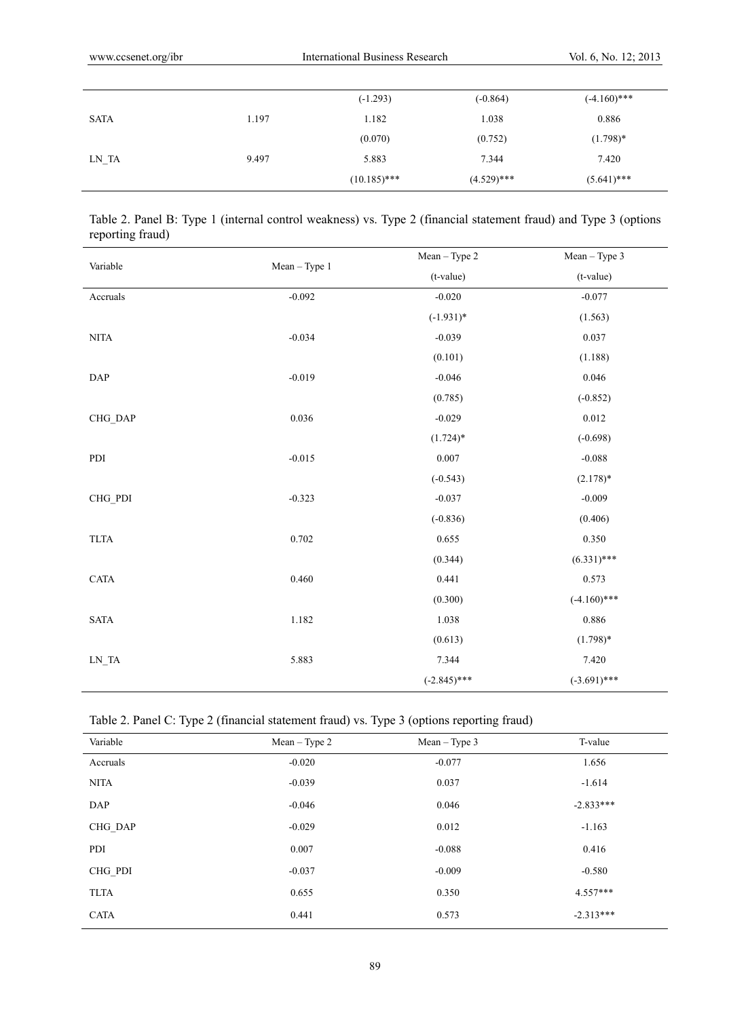|             |       | $(-1.293)$     | $(-0.864)$    | $(-4.160)$ *** |
|-------------|-------|----------------|---------------|----------------|
| <b>SATA</b> | 1.197 | 1.182          | 1.038         | 0.886          |
|             |       | (0.070)        | (0.752)       | $(1.798)*$     |
| $LN\_TA$    | 9.497 | 5.883          | 7.344         | 7.420          |
|             |       | $(10.185)$ *** | $(4.529)$ *** | $(5.641)$ ***  |

Table 2. Panel B: Type 1 (internal control weakness) vs. Type 2 (financial statement fraud) and Type 3 (options reporting fraud)

| Variable         | Mean - Type 1 | Mean - Type 2  | Mean - Type 3  |
|------------------|---------------|----------------|----------------|
|                  |               | (t-value)      | (t-value)      |
| Accruals         | $-0.092$      | $-0.020$       | $-0.077$       |
|                  |               | $(-1.931)^*$   | (1.563)        |
| $\rm NITA$       | $-0.034$      | $-0.039$       | 0.037          |
|                  |               | (0.101)        | (1.188)        |
| <b>DAP</b>       | $-0.019$      | $-0.046$       | 0.046          |
|                  |               | (0.785)        | $(-0.852)$     |
| $CHG\_DAP$       | 0.036         | $-0.029$       | 0.012          |
|                  |               | $(1.724)*$     | $(-0.698)$     |
| PDI              | $-0.015$      | 0.007          | $-0.088$       |
|                  |               | $(-0.543)$     | $(2.178)*$     |
| ${\rm CHG\_PDI}$ | $-0.323$      | $-0.037$       | $-0.009$       |
|                  |               | $(-0.836)$     | (0.406)        |
| <b>TLTA</b>      | 0.702         | 0.655          | 0.350          |
|                  |               | (0.344)        | $(6.331)$ ***  |
| CATA             | 0.460         | 0.441          | 0.573          |
|                  |               | (0.300)        | $(-4.160)$ *** |
| <b>SATA</b>      | 1.182         | 1.038          | 0.886          |
|                  |               | (0.613)        | $(1.798)*$     |
| $\text{LN\_TA}$  | 5.883         | 7.344          | 7.420          |
|                  |               | $(-2.845)$ *** | $(-3.691)$ *** |

| Table 2. Panel C: Type 2 (financial statement fraud) vs. Type 3 (options reporting fraud) |  |  |  |  |
|-------------------------------------------------------------------------------------------|--|--|--|--|
|-------------------------------------------------------------------------------------------|--|--|--|--|

| Variable    | $Mean - Type 2$ | $Mean - Type 3$ | T-value     |
|-------------|-----------------|-----------------|-------------|
| Accruals    | $-0.020$        | $-0.077$        | 1.656       |
| <b>NITA</b> | $-0.039$        | 0.037           | $-1.614$    |
| <b>DAP</b>  | $-0.046$        | 0.046           | $-2.833***$ |
| CHG DAP     | $-0.029$        | 0.012           | $-1.163$    |
| PDI         | 0.007           | $-0.088$        | 0.416       |
| CHG PDI     | $-0.037$        | $-0.009$        | $-0.580$    |
| <b>TLTA</b> | 0.655           | 0.350           | $4.557***$  |
| <b>CATA</b> | 0.441           | 0.573           | $-2.313***$ |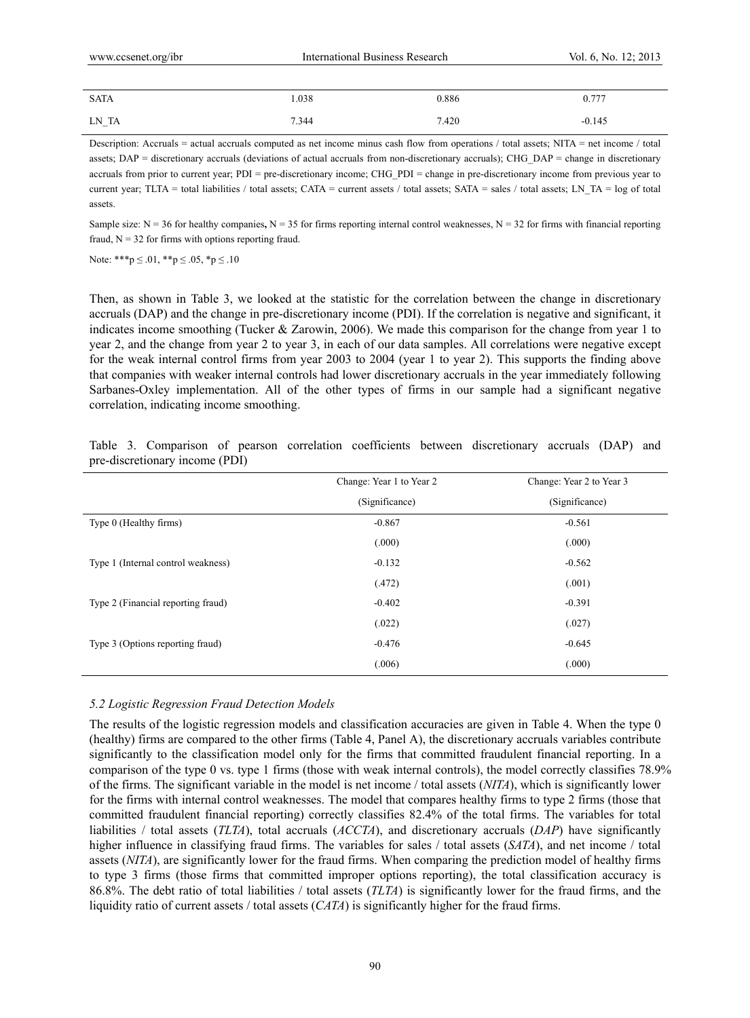| <b>SATA</b> | 1.038 | 0.886 | 0.777    |
|-------------|-------|-------|----------|
| $LN\_TA$    | 7.344 | 7.420 | $-0.145$ |

Description: Accruals = actual accruals computed as net income minus cash flow from operations / total assets; NITA = net income / total assets; DAP = discretionary accruals (deviations of actual accruals from non-discretionary accruals); CHG\_DAP = change in discretionary accruals from prior to current year; PDI = pre-discretionary income; CHG\_PDI = change in pre-discretionary income from previous year to current year; TLTA = total liabilities / total assets; CATA = current assets / total assets; SATA = sales / total assets; LN\_TA = log of total assets.

Sample size:  $N = 36$  for healthy companies,  $N = 35$  for firms reporting internal control weaknesses,  $N = 32$  for firms with financial reporting fraud,  $N = 32$  for firms with options reporting fraud.

Note: \*\*\*p  $\leq 0.01$ , \*\*p  $\leq 0.05$ , \*p  $\leq 0.10$ 

Then, as shown in Table 3, we looked at the statistic for the correlation between the change in discretionary accruals (DAP) and the change in pre-discretionary income (PDI). If the correlation is negative and significant, it indicates income smoothing (Tucker & Zarowin, 2006). We made this comparison for the change from year 1 to year 2, and the change from year 2 to year 3, in each of our data samples. All correlations were negative except for the weak internal control firms from year 2003 to 2004 (year 1 to year 2). This supports the finding above that companies with weaker internal controls had lower discretionary accruals in the year immediately following Sarbanes-Oxley implementation. All of the other types of firms in our sample had a significant negative correlation, indicating income smoothing.

|                                    | Change: Year 1 to Year 2 | Change: Year 2 to Year 3 |
|------------------------------------|--------------------------|--------------------------|
|                                    | (Significance)           | (Significance)           |
| Type 0 (Healthy firms)             | $-0.867$                 | $-0.561$                 |
|                                    | (.000)                   | (.000)                   |
| Type 1 (Internal control weakness) | $-0.132$                 | $-0.562$                 |
|                                    | (.472)                   | (.001)                   |
| Type 2 (Financial reporting fraud) | $-0.402$                 | $-0.391$                 |
|                                    | (.022)                   | (.027)                   |
| Type 3 (Options reporting fraud)   | $-0.476$                 | $-0.645$                 |
|                                    | (.006)                   | (.000)                   |
|                                    |                          |                          |

Table 3. Comparison of pearson correlation coefficients between discretionary accruals (DAP) and pre-discretionary income (PDI)

# *5.2 Logistic Regression Fraud Detection Models*

The results of the logistic regression models and classification accuracies are given in Table 4. When the type 0 (healthy) firms are compared to the other firms (Table 4, Panel A), the discretionary accruals variables contribute significantly to the classification model only for the firms that committed fraudulent financial reporting. In a comparison of the type 0 vs. type 1 firms (those with weak internal controls), the model correctly classifies 78.9% of the firms. The significant variable in the model is net income / total assets (*NITA*), which is significantly lower for the firms with internal control weaknesses. The model that compares healthy firms to type 2 firms (those that committed fraudulent financial reporting) correctly classifies 82.4% of the total firms. The variables for total liabilities / total assets (*TLTA*), total accruals (*ACCTA*), and discretionary accruals (*DAP*) have significantly higher influence in classifying fraud firms. The variables for sales / total assets (*SATA*), and net income / total assets (*NITA*), are significantly lower for the fraud firms. When comparing the prediction model of healthy firms to type 3 firms (those firms that committed improper options reporting), the total classification accuracy is 86.8%. The debt ratio of total liabilities / total assets (*TLTA*) is significantly lower for the fraud firms, and the liquidity ratio of current assets / total assets (*CATA*) is significantly higher for the fraud firms.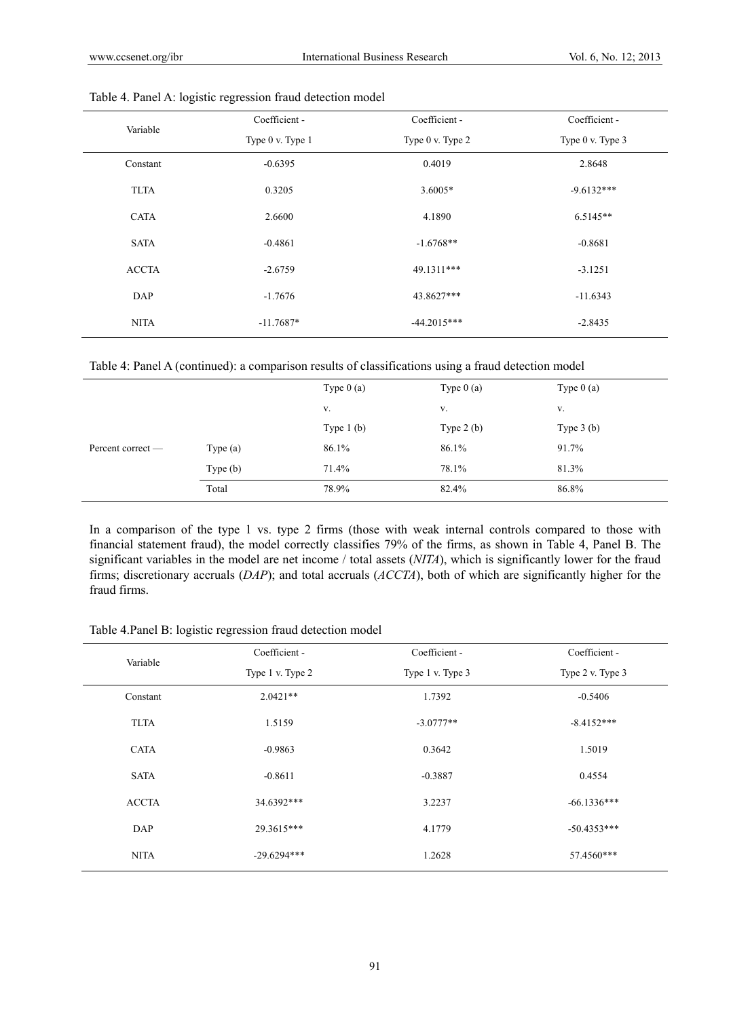| Variable     | Coefficient -    | Coefficient -    | Coefficient -    |
|--------------|------------------|------------------|------------------|
|              | Type 0 v. Type 1 | Type 0 v. Type 2 | Type 0 v. Type 3 |
| Constant     | $-0.6395$        | 0.4019           | 2.8648           |
| <b>TLTA</b>  | 0.3205           | $3.6005*$        | $-9.6132***$     |
| <b>CATA</b>  | 2.6600           | 4.1890           | $6.5145**$       |
| <b>SATA</b>  | $-0.4861$        | $-1.6768**$      | $-0.8681$        |
| <b>ACCTA</b> | $-2.6759$        | 49.1311***       | $-3.1251$        |
| <b>DAP</b>   | $-1.7676$        | 43.8627***       | $-11.6343$       |
| <b>NITA</b>  | $-11.7687*$      | $-44.2015***$    | $-2.8435$        |

Table 4. Panel A: logistic regression fraud detection model

| Table 4: Panel A (continued): a comparison results of classifications using a fraud detection model |  |  |  |  |
|-----------------------------------------------------------------------------------------------------|--|--|--|--|
|                                                                                                     |  |  |  |  |

|                   |            | Type $0(a)$ | Type $0(a)$ | Type $0(a)$ |
|-------------------|------------|-------------|-------------|-------------|
|                   |            | V.          | V.          | V.          |
|                   |            | Type $1(b)$ | Type $2(b)$ | Type $3(b)$ |
| Percent correct — | Type $(a)$ | 86.1%       | 86.1%       | 91.7%       |
|                   | Type (b)   | 71.4%       | 78.1%       | 81.3%       |
|                   | Total      | 78.9%       | 82.4%       | 86.8%       |

In a comparison of the type 1 vs. type 2 firms (those with weak internal controls compared to those with financial statement fraud), the model correctly classifies 79% of the firms, as shown in Table 4, Panel B. The significant variables in the model are net income / total assets (*NITA*), which is significantly lower for the fraud firms; discretionary accruals (*DAP*); and total accruals (*ACCTA*), both of which are significantly higher for the fraud firms.

|  | Table 4. Panel B: logistic regression fraud detection model |  |  |  |  |  |
|--|-------------------------------------------------------------|--|--|--|--|--|
|--|-------------------------------------------------------------|--|--|--|--|--|

| Variable     | Coefficient -    | Coefficient -    | Coefficient -    |
|--------------|------------------|------------------|------------------|
|              | Type 1 v. Type 2 | Type 1 v. Type 3 | Type 2 v. Type 3 |
| Constant     | $2.0421**$       | 1.7392           | $-0.5406$        |
| <b>TLTA</b>  | 1.5159           | $-3.0777**$      | $-8.4152***$     |
| <b>CATA</b>  | $-0.9863$        | 0.3642           | 1.5019           |
| <b>SATA</b>  | $-0.8611$        | $-0.3887$        | 0.4554           |
| <b>ACCTA</b> | 34.6392***       | 3.2237           | $-66.1336***$    |
| <b>DAP</b>   | 29.3615***       | 4.1779           | $-50.4353***$    |
| <b>NITA</b>  | $-29.6294***$    | 1.2628           | 57.4560***       |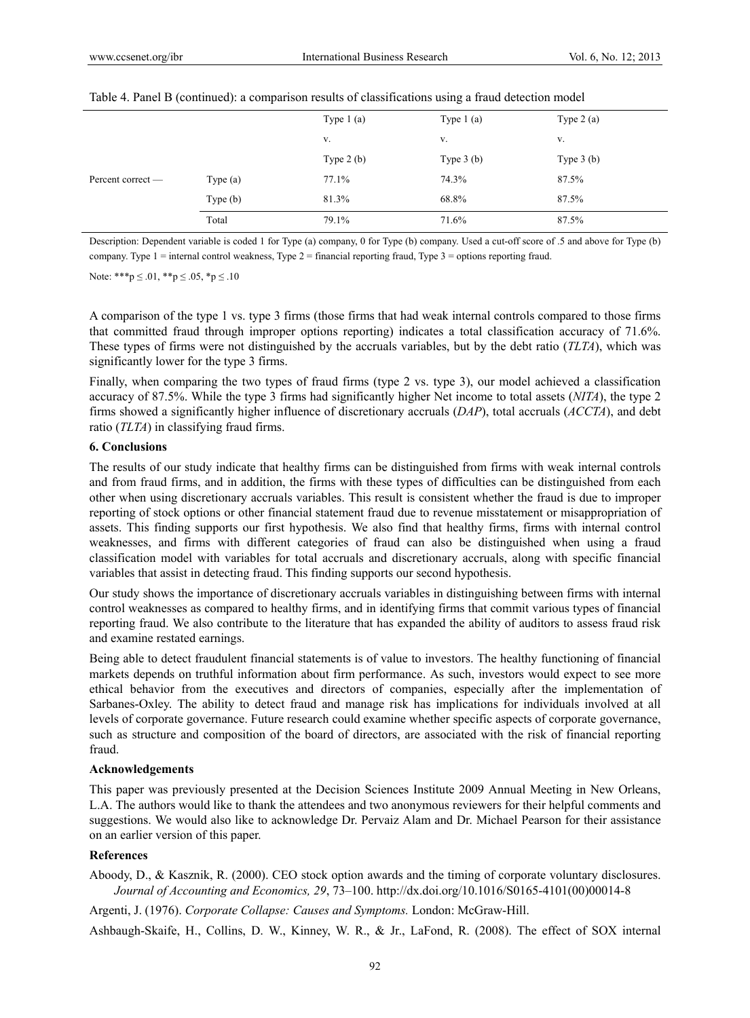|                   |            | Type $1(a)$ | Type $1(a)$ | Type $2(a)$ |
|-------------------|------------|-------------|-------------|-------------|
|                   |            | V.          | V.          | V.          |
|                   |            | Type $2(b)$ | Type $3(b)$ | Type $3(b)$ |
| Percent correct — | Type $(a)$ | 77.1%       | 74.3%       | 87.5%       |
|                   | Type (b)   | 81.3%       | 68.8%       | 87.5%       |
|                   | Total      | 79.1%       | 71.6%       | 87.5%       |

#### Table 4. Panel B (continued): a comparison results of classifications using a fraud detection model

Description: Dependent variable is coded 1 for Type (a) company, 0 for Type (b) company. Used a cut-off score of .5 and above for Type (b) company. Type  $1 =$  internal control weakness, Type  $2 =$  financial reporting fraud, Type  $3 =$  options reporting fraud.

Note: \*\*\*p  $\leq 0.01$ , \*\*p  $\leq 0.05$ , \*p  $\leq 0.10$ 

A comparison of the type 1 vs. type 3 firms (those firms that had weak internal controls compared to those firms that committed fraud through improper options reporting) indicates a total classification accuracy of 71.6%. These types of firms were not distinguished by the accruals variables, but by the debt ratio (*TLTA*), which was significantly lower for the type 3 firms.

Finally, when comparing the two types of fraud firms (type 2 vs. type 3), our model achieved a classification accuracy of 87.5%. While the type 3 firms had significantly higher Net income to total assets (*NITA*), the type 2 firms showed a significantly higher influence of discretionary accruals (*DAP*), total accruals (*ACCTA*), and debt ratio (*TLTA*) in classifying fraud firms.

## **6. Conclusions**

The results of our study indicate that healthy firms can be distinguished from firms with weak internal controls and from fraud firms, and in addition, the firms with these types of difficulties can be distinguished from each other when using discretionary accruals variables. This result is consistent whether the fraud is due to improper reporting of stock options or other financial statement fraud due to revenue misstatement or misappropriation of assets. This finding supports our first hypothesis. We also find that healthy firms, firms with internal control weaknesses, and firms with different categories of fraud can also be distinguished when using a fraud classification model with variables for total accruals and discretionary accruals, along with specific financial variables that assist in detecting fraud. This finding supports our second hypothesis.

Our study shows the importance of discretionary accruals variables in distinguishing between firms with internal control weaknesses as compared to healthy firms, and in identifying firms that commit various types of financial reporting fraud. We also contribute to the literature that has expanded the ability of auditors to assess fraud risk and examine restated earnings.

Being able to detect fraudulent financial statements is of value to investors. The healthy functioning of financial markets depends on truthful information about firm performance. As such, investors would expect to see more ethical behavior from the executives and directors of companies, especially after the implementation of Sarbanes-Oxley. The ability to detect fraud and manage risk has implications for individuals involved at all levels of corporate governance. Future research could examine whether specific aspects of corporate governance, such as structure and composition of the board of directors, are associated with the risk of financial reporting fraud.

#### **Acknowledgements**

This paper was previously presented at the Decision Sciences Institute 2009 Annual Meeting in New Orleans, L.A. The authors would like to thank the attendees and two anonymous reviewers for their helpful comments and suggestions. We would also like to acknowledge Dr. Pervaiz Alam and Dr. Michael Pearson for their assistance on an earlier version of this paper.

#### **References**

Aboody, D., & Kasznik, R. (2000). CEO stock option awards and the timing of corporate voluntary disclosures. *Journal of Accounting and Economics, 29*, 73–100. http://dx.doi.org/10.1016/S0165-4101(00)00014-8

Argenti, J. (1976). *Corporate Collapse: Causes and Symptoms.* London: McGraw-Hill.

Ashbaugh-Skaife, H., Collins, D. W., Kinney, W. R., & Jr., LaFond, R. (2008). The effect of SOX internal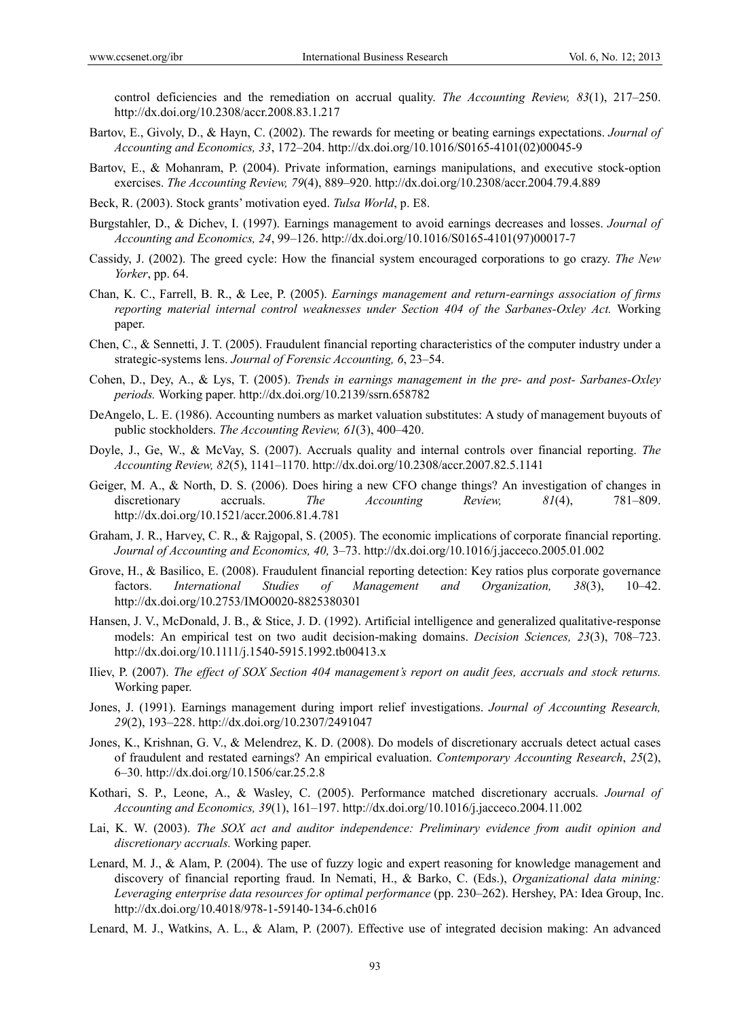control deficiencies and the remediation on accrual quality. *The Accounting Review, 83*(1), 217–250. http://dx.doi.org/10.2308/accr.2008.83.1.217

- Bartov, E., Givoly, D., & Hayn, C. (2002). The rewards for meeting or beating earnings expectations. *Journal of Accounting and Economics, 33*, 172–204. http://dx.doi.org/10.1016/S0165-4101(02)00045-9
- Bartov, E., & Mohanram, P. (2004). Private information, earnings manipulations, and executive stock-option exercises. *The Accounting Review, 79*(4), 889–920. http://dx.doi.org/10.2308/accr.2004.79.4.889
- Beck, R. (2003). Stock grants' motivation eyed. *Tulsa World*, p. E8.
- Burgstahler, D., & Dichev, I. (1997). Earnings management to avoid earnings decreases and losses. *Journal of Accounting and Economics, 24*, 99–126. http://dx.doi.org/10.1016/S0165-4101(97)00017-7
- Cassidy, J. (2002). The greed cycle: How the financial system encouraged corporations to go crazy. *The New Yorker*, pp. 64.
- Chan, K. C., Farrell, B. R., & Lee, P. (2005). *Earnings management and return-earnings association of firms reporting material internal control weaknesses under Section 404 of the Sarbanes-Oxley Act.* Working paper.
- Chen, C., & Sennetti, J. T. (2005). Fraudulent financial reporting characteristics of the computer industry under a strategic-systems lens. *Journal of Forensic Accounting, 6*, 23–54.
- Cohen, D., Dey, A., & Lys, T. (2005). *Trends in earnings management in the pre- and post- Sarbanes-Oxley periods.* Working paper. http://dx.doi.org/10.2139/ssrn.658782
- DeAngelo, L. E. (1986). Accounting numbers as market valuation substitutes: A study of management buyouts of public stockholders. *The Accounting Review, 61*(3), 400–420.
- Doyle, J., Ge, W., & McVay, S. (2007). Accruals quality and internal controls over financial reporting. *The Accounting Review, 82*(5), 1141–1170. http://dx.doi.org/10.2308/accr.2007.82.5.1141
- Geiger, M. A., & North, D. S. (2006). Does hiring a new CFO change things? An investigation of changes in discretionary accruals. *The Accounting Review, 81*(4), 781–809. http://dx.doi.org/10.1521/accr.2006.81.4.781
- Graham, J. R., Harvey, C. R., & Rajgopal, S. (2005). The economic implications of corporate financial reporting. *Journal of Accounting and Economics, 40,* 3–73. http://dx.doi.org/10.1016/j.jacceco.2005.01.002
- Grove, H., & Basilico, E. (2008). Fraudulent financial reporting detection: Key ratios plus corporate governance factors. *International Studies of Management and Organization, 38*(3), 10–42. http://dx.doi.org/10.2753/IMO0020-8825380301
- Hansen, J. V., McDonald, J. B., & Stice, J. D. (1992). Artificial intelligence and generalized qualitative-response models: An empirical test on two audit decision-making domains. *Decision Sciences, 23*(3), 708–723. http://dx.doi.org/10.1111/j.1540-5915.1992.tb00413.x
- Iliev, P. (2007). *The effect of SOX Section 404 management's report on audit fees, accruals and stock returns.*  Working paper.
- Jones, J. (1991). Earnings management during import relief investigations. *Journal of Accounting Research, 29*(2), 193–228. http://dx.doi.org/10.2307/2491047
- Jones, K., Krishnan, G. V., & Melendrez, K. D. (2008). Do models of discretionary accruals detect actual cases of fraudulent and restated earnings? An empirical evaluation. *Contemporary Accounting Research*, *25*(2), 6–30. http://dx.doi.org/10.1506/car.25.2.8
- Kothari, S. P., Leone, A., & Wasley, C. (2005). Performance matched discretionary accruals. *Journal of Accounting and Economics, 39*(1), 161–197. http://dx.doi.org/10.1016/j.jacceco.2004.11.002
- Lai, K. W. (2003). *The SOX act and auditor independence: Preliminary evidence from audit opinion and discretionary accruals.* Working paper.
- Lenard, M. J., & Alam, P. (2004). The use of fuzzy logic and expert reasoning for knowledge management and discovery of financial reporting fraud. In Nemati, H., & Barko, C. (Eds.), *Organizational data mining: Leveraging enterprise data resources for optimal performance* (pp. 230–262). Hershey, PA: Idea Group, Inc. http://dx.doi.org/10.4018/978-1-59140-134-6.ch016
- Lenard, M. J., Watkins, A. L., & Alam, P. (2007). Effective use of integrated decision making: An advanced